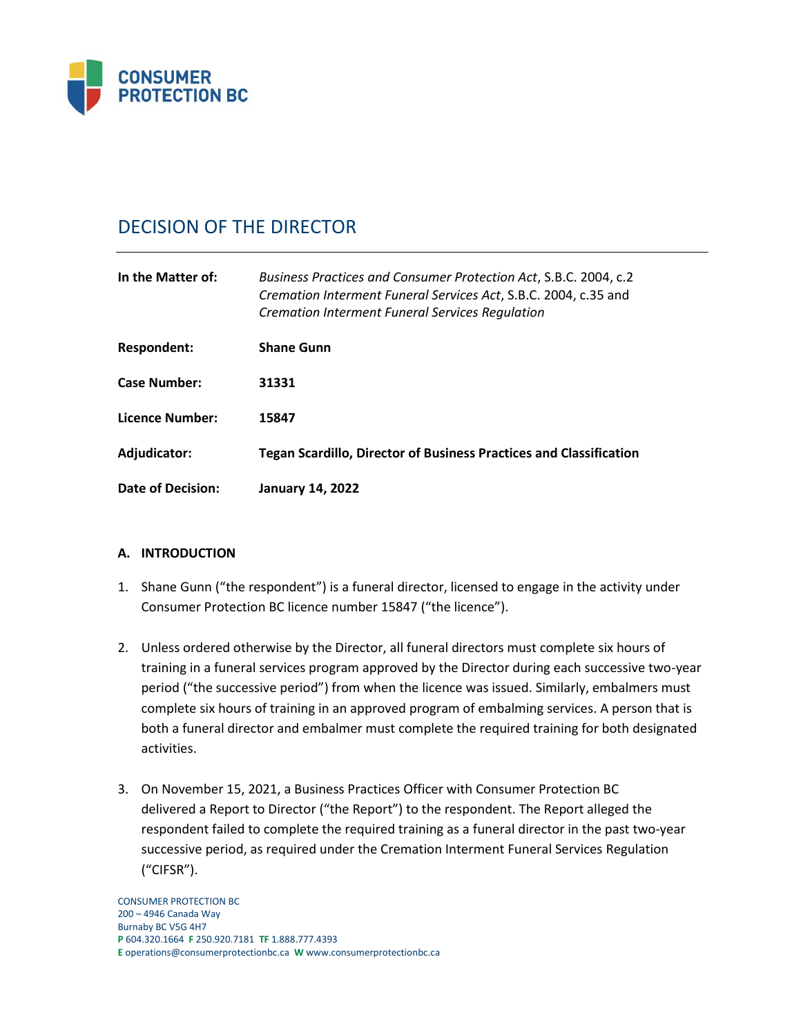

# DECISION OF THE DIRECTOR

| In the Matter of:   | Business Practices and Consumer Protection Act, S.B.C. 2004, c.2<br>Cremation Interment Funeral Services Act, S.B.C. 2004, c.35 and<br><b>Cremation Interment Funeral Services Regulation</b> |
|---------------------|-----------------------------------------------------------------------------------------------------------------------------------------------------------------------------------------------|
| Respondent:         | <b>Shane Gunn</b>                                                                                                                                                                             |
| <b>Case Number:</b> | 31331                                                                                                                                                                                         |
| Licence Number:     | 15847                                                                                                                                                                                         |
| Adjudicator:        | <b>Tegan Scardillo, Director of Business Practices and Classification</b>                                                                                                                     |
| Date of Decision:   | <b>January 14, 2022</b>                                                                                                                                                                       |

# **A. INTRODUCTION**

- 1. Shane Gunn ("the respondent") is a funeral director, licensed to engage in the activity under Consumer Protection BC licence number 15847 ("the licence").
- 2. Unless ordered otherwise by the Director, all funeral directors must complete six hours of training in a funeral services program approved by the Director during each successive two-year period ("the successive period") from when the licence was issued. Similarly, embalmers must complete six hours of training in an approved program of embalming services. A person that is both a funeral director and embalmer must complete the required training for both designated activities.
- 3. On November 15, 2021, a Business Practices Officer with Consumer Protection BC delivered a Report to Director ("the Report") to the respondent. The Report alleged the respondent failed to complete the required training as a funeral director in the past two-year successive period, as required under the Cremation Interment Funeral Services Regulation ("CIFSR").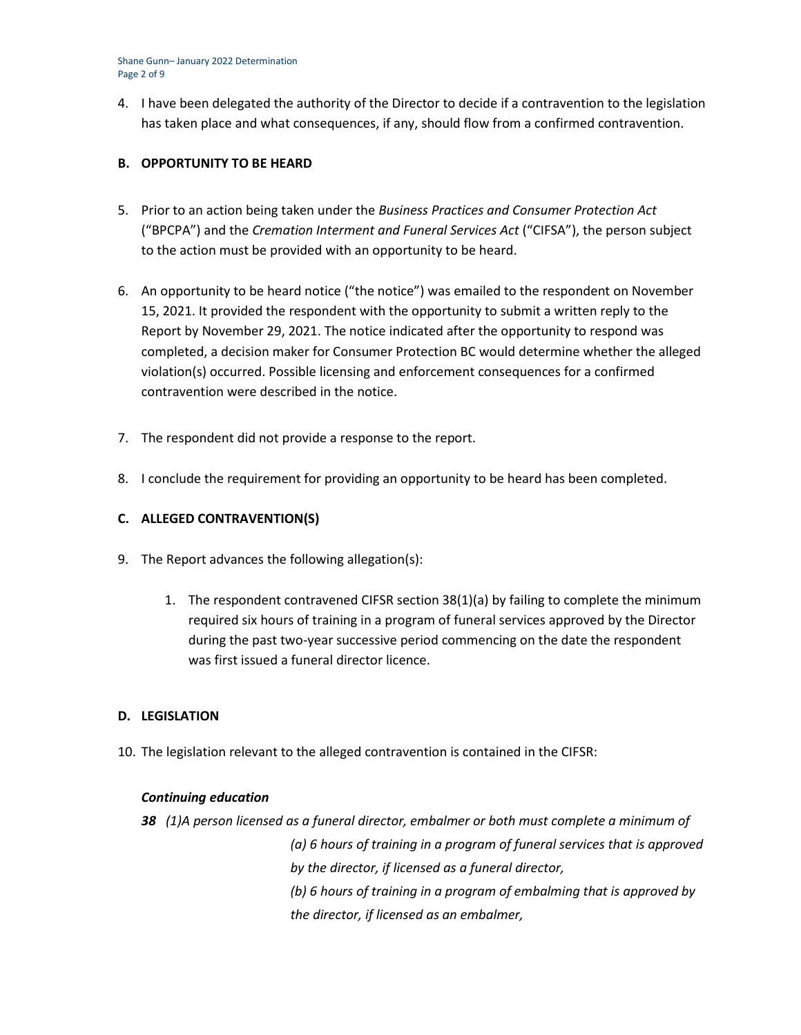Shane Gunn– January 2022 Determination Page 2 of 9

4. I have been delegated the authority of the Director to decide if a contravention to the legislation has taken place and what consequences, if any, should flow from a confirmed contravention.

## **B. OPPORTUNITY TO BE HEARD**

- 5. Prior to an action being taken under the *Business Practices and Consumer Protection Act*  ("BPCPA") and the *Cremation Interment and Funeral Services Act* ("CIFSA"), the person subject to the action must be provided with an opportunity to be heard.
- 6. An opportunity to be heard notice ("the notice") was emailed to the respondent on November 15, 2021. It provided the respondent with the opportunity to submit a written reply to the Report by November 29, 2021. The notice indicated after the opportunity to respond was completed, a decision maker for Consumer Protection BC would determine whether the alleged violation(s) occurred. Possible licensing and enforcement consequences for a confirmed contravention were described in the notice.
- 7. The respondent did not provide a response to the report.
- 8. I conclude the requirement for providing an opportunity to be heard has been completed.

# **C. ALLEGED CONTRAVENTION(S)**

- 9. The Report advances the following allegation(s):
	- 1. The respondent contravened CIFSR section 38(1)(a) by failing to complete the minimum required six hours of training in a program of funeral services approved by the Director during the past two-year successive period commencing on the date the respondent was first issued a funeral director licence.

## **D. LEGISLATION**

10. The legislation relevant to the alleged contravention is contained in the CIFSR:

## *Continuing education*

*38 (1)A person licensed as a funeral director, embalmer or both must complete a minimum of (a) 6 hours of training in a program of funeral services that is approved by the director, if licensed as a funeral director, (b) 6 hours of training in a program of embalming that is approved by the director, if licensed as an embalmer,*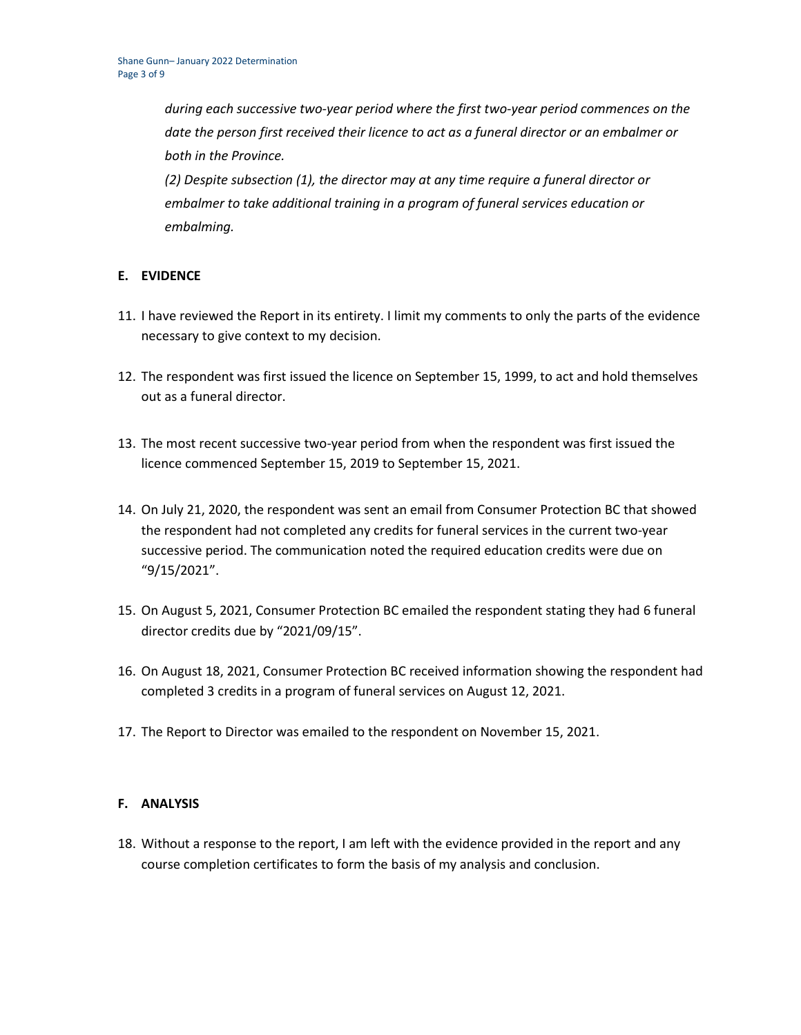*during each successive two-year period where the first two-year period commences on the date the person first received their licence to act as a funeral director or an embalmer or both in the Province.*

*(2) Despite subsection (1), the director may at any time require a funeral director or embalmer to take additional training in a program of funeral services education or embalming.*

## **E. EVIDENCE**

- 11. I have reviewed the Report in its entirety. I limit my comments to only the parts of the evidence necessary to give context to my decision.
- 12. The respondent was first issued the licence on September 15, 1999, to act and hold themselves out as a funeral director.
- 13. The most recent successive two-year period from when the respondent was first issued the licence commenced September 15, 2019 to September 15, 2021.
- 14. On July 21, 2020, the respondent was sent an email from Consumer Protection BC that showed the respondent had not completed any credits for funeral services in the current two-year successive period. The communication noted the required education credits were due on "9/15/2021".
- 15. On August 5, 2021, Consumer Protection BC emailed the respondent stating they had 6 funeral director credits due by "2021/09/15".
- 16. On August 18, 2021, Consumer Protection BC received information showing the respondent had completed 3 credits in a program of funeral services on August 12, 2021.
- 17. The Report to Director was emailed to the respondent on November 15, 2021.

## **F. ANALYSIS**

18. Without a response to the report, I am left with the evidence provided in the report and any course completion certificates to form the basis of my analysis and conclusion.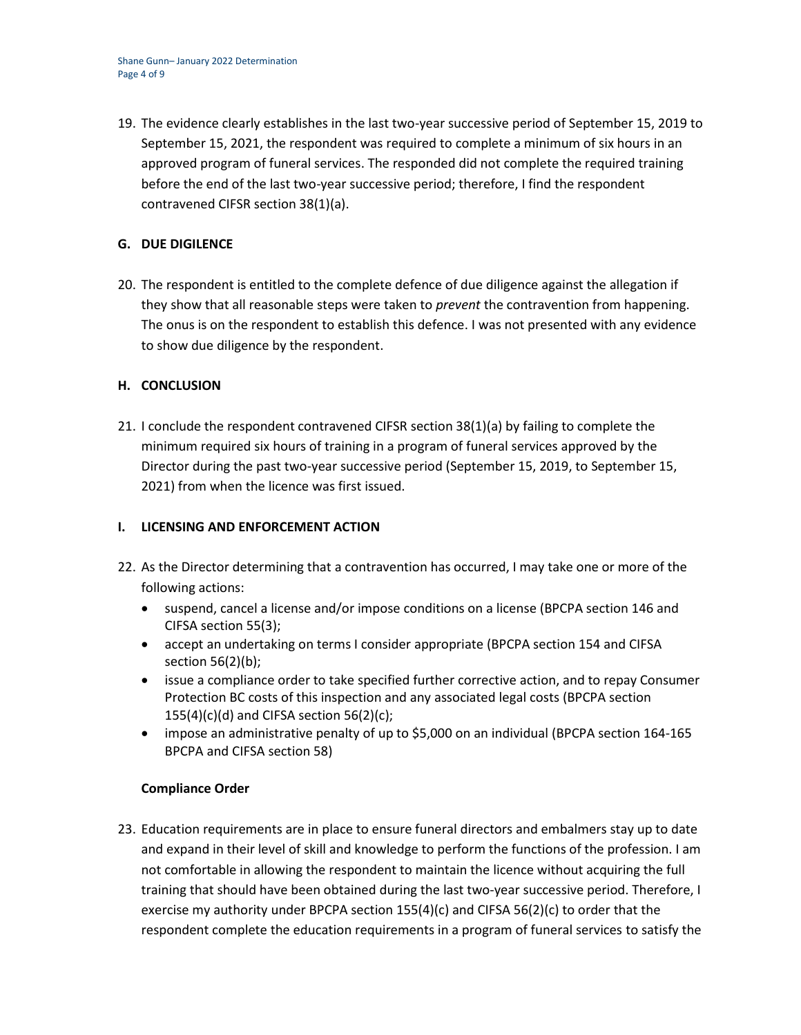19. The evidence clearly establishes in the last two-year successive period of September 15, 2019 to September 15, 2021, the respondent was required to complete a minimum of six hours in an approved program of funeral services. The responded did not complete the required training before the end of the last two-year successive period; therefore, I find the respondent contravened CIFSR section 38(1)(a).

## **G. DUE DIGILENCE**

20. The respondent is entitled to the complete defence of due diligence against the allegation if they show that all reasonable steps were taken to *prevent* the contravention from happening. The onus is on the respondent to establish this defence. I was not presented with any evidence to show due diligence by the respondent.

## **H. CONCLUSION**

21. I conclude the respondent contravened CIFSR section 38(1)(a) by failing to complete the minimum required six hours of training in a program of funeral services approved by the Director during the past two-year successive period (September 15, 2019, to September 15, 2021) from when the licence was first issued.

## **I. LICENSING AND ENFORCEMENT ACTION**

- 22. As the Director determining that a contravention has occurred, I may take one or more of the following actions:
	- suspend, cancel a license and/or impose conditions on a license (BPCPA section 146 and CIFSA section 55(3);
	- accept an undertaking on terms I consider appropriate (BPCPA section 154 and CIFSA section 56(2)(b);
	- issue a compliance order to take specified further corrective action, and to repay Consumer Protection BC costs of this inspection and any associated legal costs (BPCPA section  $155(4)(c)(d)$  and CIFSA section  $56(2)(c)$ ;
	- impose an administrative penalty of up to \$5,000 on an individual (BPCPA section 164-165 BPCPA and CIFSA section 58)

## **Compliance Order**

23. Education requirements are in place to ensure funeral directors and embalmers stay up to date and expand in their level of skill and knowledge to perform the functions of the profession. I am not comfortable in allowing the respondent to maintain the licence without acquiring the full training that should have been obtained during the last two-year successive period. Therefore, I exercise my authority under BPCPA section  $155(4)(c)$  and CIFSA  $56(2)(c)$  to order that the respondent complete the education requirements in a program of funeral services to satisfy the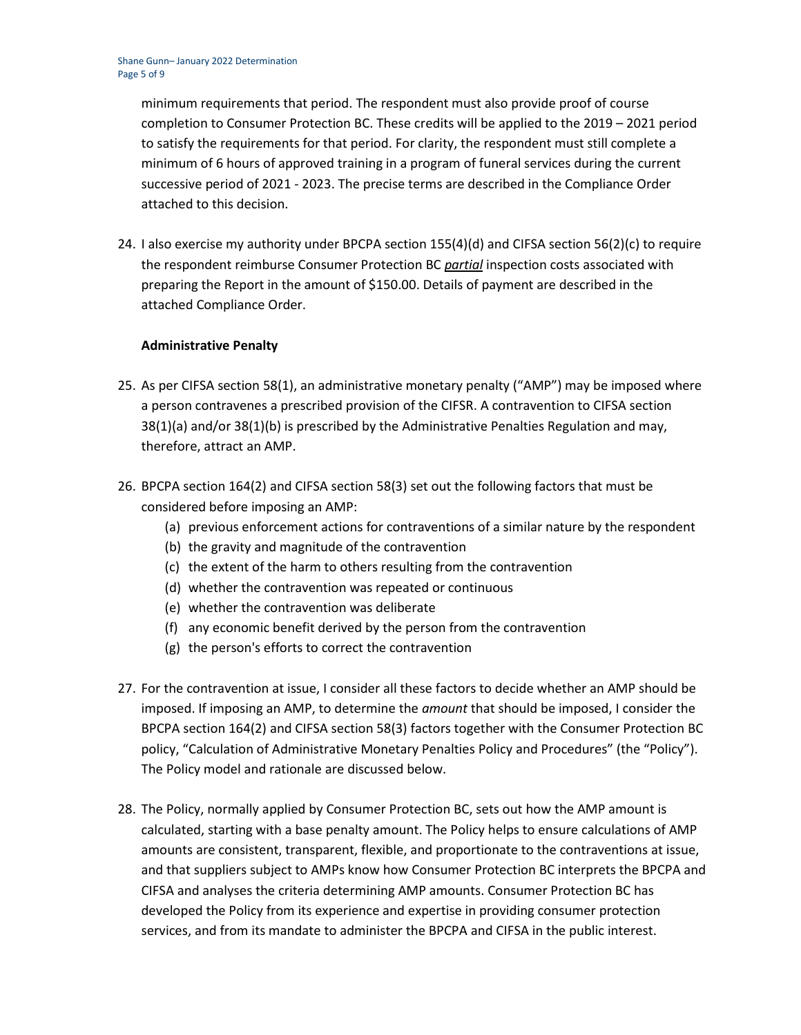minimum requirements that period. The respondent must also provide proof of course completion to Consumer Protection BC. These credits will be applied to the 2019 – 2021 period to satisfy the requirements for that period. For clarity, the respondent must still complete a minimum of 6 hours of approved training in a program of funeral services during the current successive period of 2021 - 2023. The precise terms are described in the Compliance Order attached to this decision.

24. I also exercise my authority under BPCPA section 155(4)(d) and CIFSA section 56(2)(c) to require the respondent reimburse Consumer Protection BC *partial* inspection costs associated with preparing the Report in the amount of \$150.00. Details of payment are described in the attached Compliance Order.

## **Administrative Penalty**

- 25. As per CIFSA section 58(1), an administrative monetary penalty ("AMP") may be imposed where a person contravenes a prescribed provision of the CIFSR. A contravention to CIFSA section 38(1)(a) and/or 38(1)(b) is prescribed by the Administrative Penalties Regulation and may, therefore, attract an AMP.
- 26. BPCPA section 164(2) and CIFSA section 58(3) set out the following factors that must be considered before imposing an AMP:
	- (a) previous enforcement actions for contraventions of a similar nature by the respondent
	- (b) the gravity and magnitude of the contravention
	- (c) the extent of the harm to others resulting from the contravention
	- (d) whether the contravention was repeated or continuous
	- (e) whether the contravention was deliberate
	- (f) any economic benefit derived by the person from the contravention
	- (g) the person's efforts to correct the contravention
- 27. For the contravention at issue, I consider all these factors to decide whether an AMP should be imposed. If imposing an AMP, to determine the *amount* that should be imposed, I consider the BPCPA section 164(2) and CIFSA section 58(3) factors together with the Consumer Protection BC policy, "Calculation of Administrative Monetary Penalties Policy and Procedures" (the "Policy"). The Policy model and rationale are discussed below.
- 28. The Policy, normally applied by Consumer Protection BC, sets out how the AMP amount is calculated, starting with a base penalty amount. The Policy helps to ensure calculations of AMP amounts are consistent, transparent, flexible, and proportionate to the contraventions at issue, and that suppliers subject to AMPs know how Consumer Protection BC interprets the BPCPA and CIFSA and analyses the criteria determining AMP amounts. Consumer Protection BC has developed the Policy from its experience and expertise in providing consumer protection services, and from its mandate to administer the BPCPA and CIFSA in the public interest.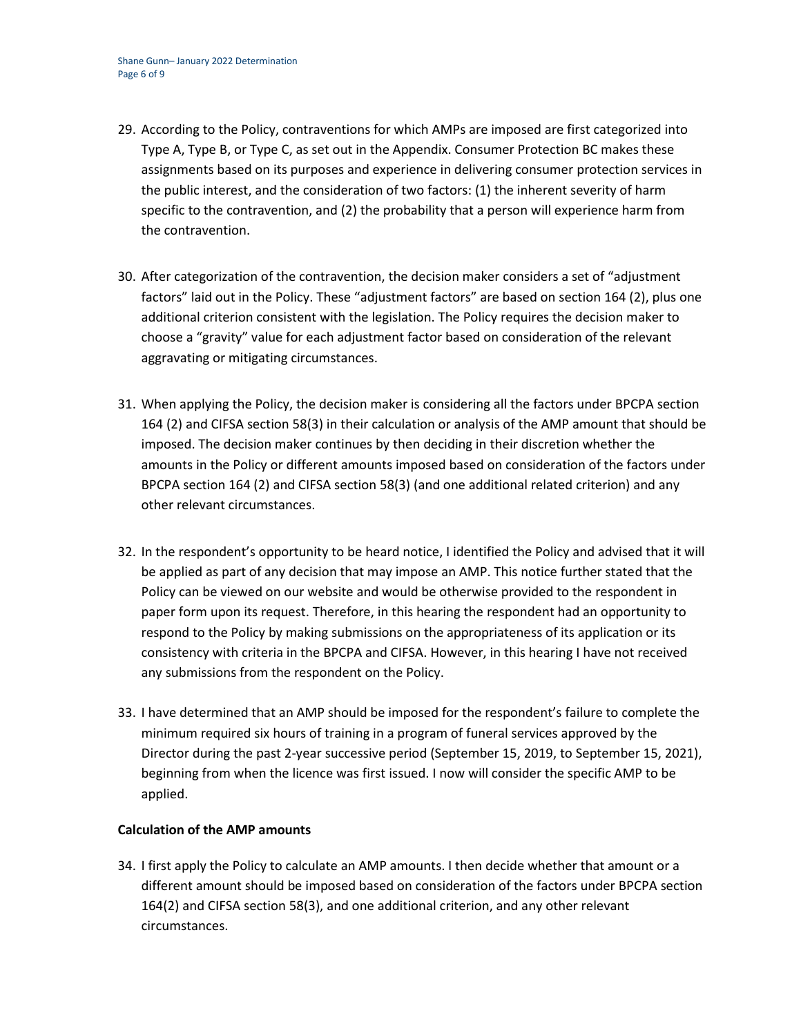- 29. According to the Policy, contraventions for which AMPs are imposed are first categorized into Type A, Type B, or Type C, as set out in the Appendix. Consumer Protection BC makes these assignments based on its purposes and experience in delivering consumer protection services in the public interest, and the consideration of two factors: (1) the inherent severity of harm specific to the contravention, and (2) the probability that a person will experience harm from the contravention.
- 30. After categorization of the contravention, the decision maker considers a set of "adjustment factors" laid out in the Policy. These "adjustment factors" are based on section 164 (2), plus one additional criterion consistent with the legislation. The Policy requires the decision maker to choose a "gravity" value for each adjustment factor based on consideration of the relevant aggravating or mitigating circumstances.
- 31. When applying the Policy, the decision maker is considering all the factors under BPCPA section 164 (2) and CIFSA section 58(3) in their calculation or analysis of the AMP amount that should be imposed. The decision maker continues by then deciding in their discretion whether the amounts in the Policy or different amounts imposed based on consideration of the factors under BPCPA section 164 (2) and CIFSA section 58(3) (and one additional related criterion) and any other relevant circumstances.
- 32. In the respondent's opportunity to be heard notice, I identified the Policy and advised that it will be applied as part of any decision that may impose an AMP. This notice further stated that the Policy can be viewed on our website and would be otherwise provided to the respondent in paper form upon its request. Therefore, in this hearing the respondent had an opportunity to respond to the Policy by making submissions on the appropriateness of its application or its consistency with criteria in the BPCPA and CIFSA. However, in this hearing I have not received any submissions from the respondent on the Policy.
- 33. I have determined that an AMP should be imposed for the respondent's failure to complete the minimum required six hours of training in a program of funeral services approved by the Director during the past 2-year successive period (September 15, 2019, to September 15, 2021), beginning from when the licence was first issued. I now will consider the specific AMP to be applied.

# **Calculation of the AMP amounts**

34. I first apply the Policy to calculate an AMP amounts. I then decide whether that amount or a different amount should be imposed based on consideration of the factors under BPCPA section 164(2) and CIFSA section 58(3), and one additional criterion, and any other relevant circumstances.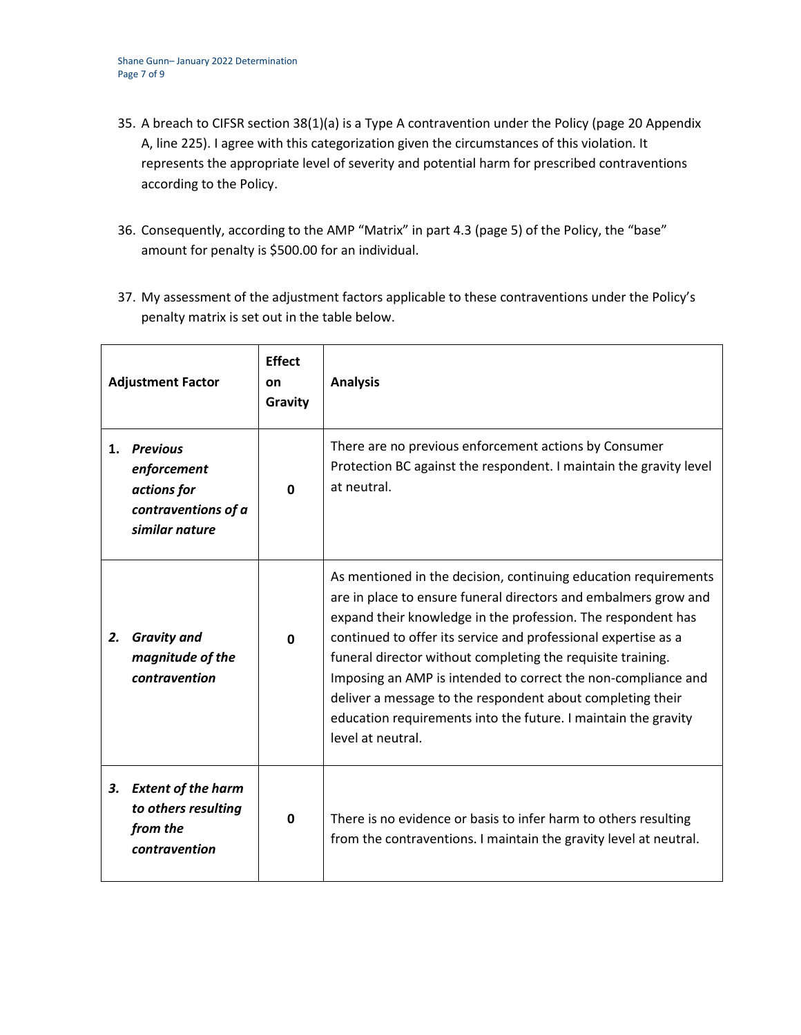- 35. A breach to CIFSR section 38(1)(a) is a Type A contravention under the Policy (page 20 Appendix A, line 225). I agree with this categorization given the circumstances of this violation. It represents the appropriate level of severity and potential harm for prescribed contraventions according to the Policy.
- 36. Consequently, according to the AMP "Matrix" in part 4.3 (page 5) of the Policy, the "base" amount for penalty is \$500.00 for an individual.
- 37. My assessment of the adjustment factors applicable to these contraventions under the Policy's penalty matrix is set out in the table below.

| <b>Adjustment Factor</b> |                                                                                        | <b>Effect</b><br>on<br>Gravity | <b>Analysis</b>                                                                                                                                                                                                                                                                                                                                                                                                                                                                                                                                           |
|--------------------------|----------------------------------------------------------------------------------------|--------------------------------|-----------------------------------------------------------------------------------------------------------------------------------------------------------------------------------------------------------------------------------------------------------------------------------------------------------------------------------------------------------------------------------------------------------------------------------------------------------------------------------------------------------------------------------------------------------|
| 1.                       | <b>Previous</b><br>enforcement<br>actions for<br>contraventions of a<br>similar nature | <sup>0</sup>                   | There are no previous enforcement actions by Consumer<br>Protection BC against the respondent. I maintain the gravity level<br>at neutral.                                                                                                                                                                                                                                                                                                                                                                                                                |
| 2.                       | <b>Gravity and</b><br>magnitude of the<br>contravention                                | $\Omega$                       | As mentioned in the decision, continuing education requirements<br>are in place to ensure funeral directors and embalmers grow and<br>expand their knowledge in the profession. The respondent has<br>continued to offer its service and professional expertise as a<br>funeral director without completing the requisite training.<br>Imposing an AMP is intended to correct the non-compliance and<br>deliver a message to the respondent about completing their<br>education requirements into the future. I maintain the gravity<br>level at neutral. |
| 3.                       | <b>Extent of the harm</b><br>to others resulting<br>from the<br>contravention          | $\mathbf{0}$                   | There is no evidence or basis to infer harm to others resulting<br>from the contraventions. I maintain the gravity level at neutral.                                                                                                                                                                                                                                                                                                                                                                                                                      |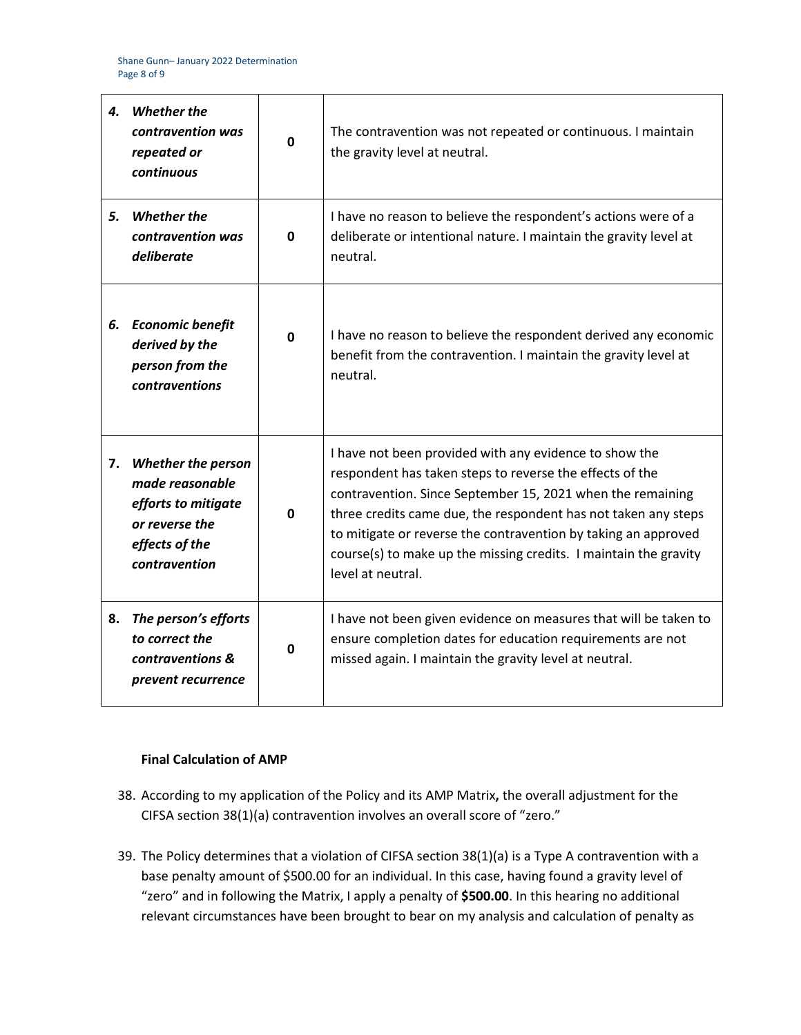| 4. | <b>Whether the</b><br>contravention was<br>repeated or<br>continuous                                                     | 0        | The contravention was not repeated or continuous. I maintain<br>the gravity level at neutral.                                                                                                                                                                                                                                                                                                                 |
|----|--------------------------------------------------------------------------------------------------------------------------|----------|---------------------------------------------------------------------------------------------------------------------------------------------------------------------------------------------------------------------------------------------------------------------------------------------------------------------------------------------------------------------------------------------------------------|
| 5. | <b>Whether the</b><br>contravention was<br>deliberate                                                                    | 0        | I have no reason to believe the respondent's actions were of a<br>deliberate or intentional nature. I maintain the gravity level at<br>neutral.                                                                                                                                                                                                                                                               |
| 6. | <b>Economic benefit</b><br>derived by the<br>person from the<br>contraventions                                           | $\Omega$ | I have no reason to believe the respondent derived any economic<br>benefit from the contravention. I maintain the gravity level at<br>neutral.                                                                                                                                                                                                                                                                |
| 7. | <b>Whether the person</b><br>made reasonable<br>efforts to mitigate<br>or reverse the<br>effects of the<br>contravention | O        | I have not been provided with any evidence to show the<br>respondent has taken steps to reverse the effects of the<br>contravention. Since September 15, 2021 when the remaining<br>three credits came due, the respondent has not taken any steps<br>to mitigate or reverse the contravention by taking an approved<br>course(s) to make up the missing credits. I maintain the gravity<br>level at neutral. |
| 8. | The person's efforts<br>to correct the<br>contraventions &<br>prevent recurrence                                         | 0        | I have not been given evidence on measures that will be taken to<br>ensure completion dates for education requirements are not<br>missed again. I maintain the gravity level at neutral.                                                                                                                                                                                                                      |

## **Final Calculation of AMP**

- 38. According to my application of the Policy and its AMP Matrix**,** the overall adjustment for the CIFSA section 38(1)(a) contravention involves an overall score of "zero."
- 39. The Policy determines that a violation of CIFSA section 38(1)(a) is a Type A contravention with a base penalty amount of \$500.00 for an individual. In this case, having found a gravity level of "zero" and in following the Matrix, I apply a penalty of **\$500.00**. In this hearing no additional relevant circumstances have been brought to bear on my analysis and calculation of penalty as